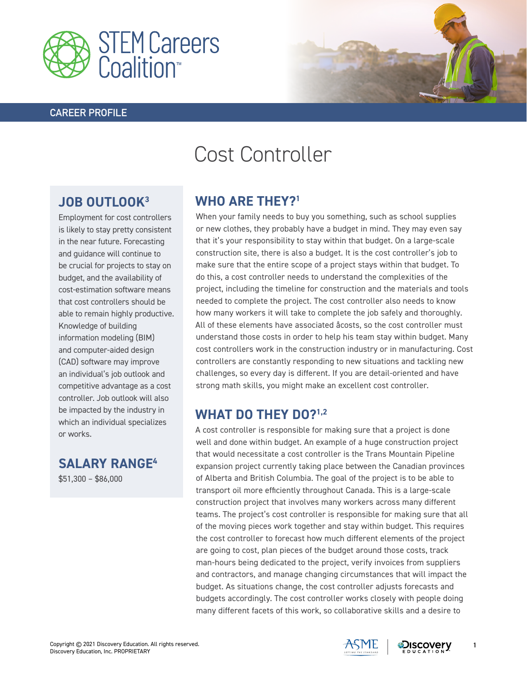

#### **CAREER PROFILE**



# Cost Controller

## **JOB OUTLOOK3**

Employment for cost controllers is likely to stay pretty consistent in the near future. Forecasting and guidance will continue to be crucial for projects to stay on budget, and the availability of cost-estimation software means that cost controllers should be able to remain highly productive. Knowledge of building information modeling (BIM) and computer-aided design (CAD) software may improve an individual's job outlook and competitive advantage as a cost controller. Job outlook will also be impacted by the industry in which an individual specializes or works.

**SALARY RANGE4** \$51,300 – \$86,000

### **WHO ARE THEY?1**

When your family needs to buy you something, such as school supplies or new clothes, they probably have a budget in mind. They may even say that it's your responsibility to stay within that budget. On a large-scale construction site, there is also a budget. It is the cost controller's job to make sure that the entire scope of a project stays within that budget. To do this, a cost controller needs to understand the complexities of the project, including the timeline for construction and the materials and tools needed to complete the project. The cost controller also needs to know how many workers it will take to complete the job safely and thoroughly. All of these elements have associated åcosts, so the cost controller must understand those costs in order to help his team stay within budget. Many cost controllers work in the construction industry or in manufacturing. Cost controllers are constantly responding to new situations and tackling new challenges, so every day is different. If you are detail-oriented and have strong math skills, you might make an excellent cost controller.

#### **WHAT DO THEY DO?1,2**

A cost controller is responsible for making sure that a project is done well and done within budget. An example of a huge construction project that would necessitate a cost controller is the Trans Mountain Pipeline expansion project currently taking place between the Canadian provinces of Alberta and British Columbia. The goal of the project is to be able to transport oil more efficiently throughout Canada. This is a large-scale construction project that involves many workers across many different teams. The project's cost controller is responsible for making sure that all of the moving pieces work together and stay within budget. This requires the cost controller to forecast how much different elements of the project are going to cost, plan pieces of the budget around those costs, track man-hours being dedicated to the project, verify invoices from suppliers and contractors, and manage changing circumstances that will impact the budget. As situations change, the cost controller adjusts forecasts and budgets accordingly. The cost controller works closely with people doing many different facets of this work, so collaborative skills and a desire to